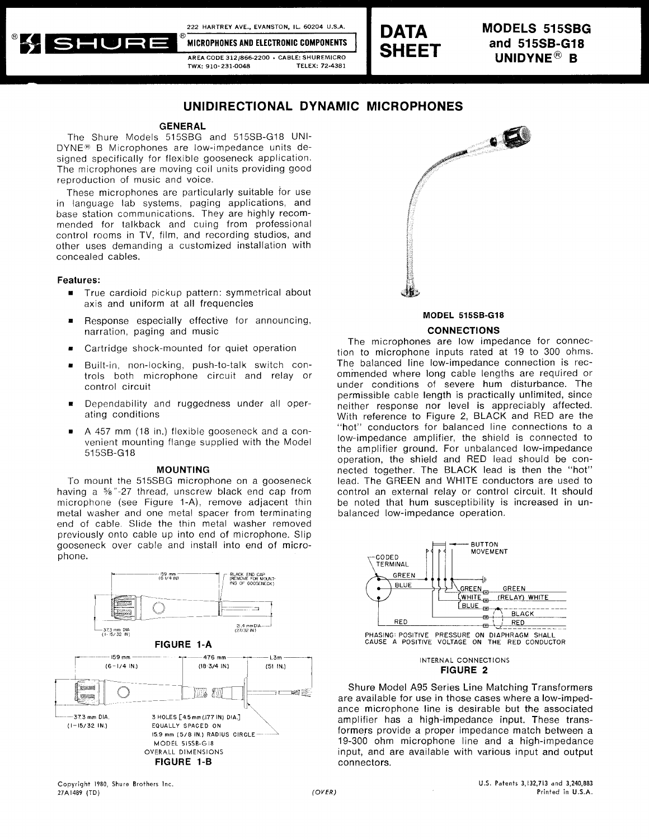222 HARTREY AVE., EVANSTON. IL. 60204 U.S.A. MICROPHONES AND ELECTRONIC COMPONENTS



**i** 

AREA CODE 312/866-2200 . CABLE: SHUREMICRO<br>TWX: 910-231-0048 TELEX: 72-4381 TWX: 910-231-0048



**DATA** MODELS 515SBG<br>**SHEET** and 515SB-G18  $\overline{\textbf{SHEET}}$  and 515SB-G18 **B** 

# **UNIDIRECTIONAL DYNAMIC MICROPHONES**

#### GENERAL

The Shure Models 515SBG and 515SB-GI8 UNI-DYNE<sup>®</sup> B Microphones are low-impedance units designed specifically for flexible gooseneck application. The microphones are moving coil units providing good reproduction of music and voice.

These microphones are particularly suitable for use in language lab systems, paging applications, and base station communications. They are highly recommended for talkback and cuing from professional control rooms in TV, film, and recording studios, and other uses demanding a customized installation with concealed cables.

### Features:

- True cardioid pickup pattern: symmetrical about  $\blacksquare$ axis and uniform at all frequencies
- Response especially effective for announcing, narration, paging and music
- Cartridge shock-mounted for quiet operation
- **R** Built-in, non-locking, push-to-talk switch controls both microphone circuit and relay or control circuit
- Dependability and ruggedness under all operating conditions
- A 457 mm (18 in.) flexible gooseneck and a convenient mounting flange supplied with the Model 515SB-G18

### MOUNTING

To mount the 515SBG microphone on a gooseneck having a 5/8"-27 thread, unscrew black end cap from microphone (see Figure 1-A), remove adjacent thin metal washer and one metal spacer from terminating end of cable. Slide the thin metal washer removed previously onto cable up into end of microphone. Slip gooseneck over cable and install into end of microphone.





# **MODEL 515SB-GI8**

# **CONNECTIONS**

The microphones are low impedance for connection to microphone inputs rated at 19 to 300 ohms. The balanced line low-impedance connection is recommended where long cable lengths are required or under conditions of severe hum disturbance. The permissible cable length is practically unlimited, since neither response nor level is appreciably affected. With reference to Figure 2, BLACK and RED are the "hot" conductors for balanced line connections to a low-impedance amplifier, the shield is connected to the amplifier ground. For unbalanced low-impedance operation, the shield and RED lead should be connected together. The BLACK lead is then the "hot" lead. The GREEN and WHITE conductors are used to control an external relay or control circuit. It should be noted that hum susceptibility is increased in unbalanced low-impedance operation.



#### INTERNAL CONNECTIONS **FIGURE 2**

Shure Model A95 Series Line Matching Transformers are available for use in those cases where a low-impedance microphone line is desirable but the associated amplifier has a high-impedance input. These transformers provide a proper impedance match between a 19-300 ohm microphone line and a high-impedance input, and are available with various input and output connectors.

Copyright 1980, Shure Brothers Inc. 27A1489 (TD) (OVER)